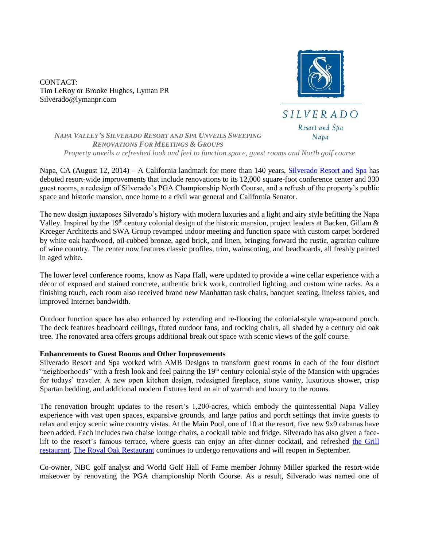CONTACT: Tim LeRoy or Brooke Hughes, Lyman PR Silverado@lymanpr.com



*NAPA VALLEY'S SILVERADO RESORT AND SPA UNVEILS SWEEPING RENOVATIONS FOR MEETINGS & GROUPS Property unveils a refreshed look and feel to function space, guest rooms and North golf course*

Napa, CA (August 12, 2014) – A California landmark for more than 140 years, [Silverado Resort and Spa](http://www.silveradoresort.com/) has debuted resort-wide improvements that include renovations to its 12,000 square-foot conference center and 330 guest rooms, a redesign of Silverado's PGA Championship North Course, and a refresh of the property's public space and historic mansion, once home to a civil war general and California Senator.

The new design juxtaposes Silverado's history with modern luxuries and a light and airy style befitting the Napa Valley. Inspired by the 19<sup>th</sup> century colonial design of the historic mansion, project leaders at Backen, Gillam  $\&$ Kroeger Architects and SWA Group revamped indoor meeting and function space with custom carpet bordered by white oak hardwood, oil-rubbed bronze, aged brick, and linen, bringing forward the rustic, agrarian culture of wine country. The center now features classic profiles, trim, wainscoting, and beadboards, all freshly painted in aged white.

The lower level conference rooms, know as Napa Hall, were updated to provide a wine cellar experience with a décor of exposed and stained concrete, authentic brick work, controlled lighting, and custom wine racks. As a finishing touch, each room also received brand new Manhattan task chairs, banquet seating, lineless tables, and improved Internet bandwidth.

Outdoor function space has also enhanced by extending and re-flooring the colonial-style wrap-around porch. The deck features beadboard ceilings, fluted outdoor fans, and rocking chairs, all shaded by a century old oak tree. The renovated area offers groups additional break out space with scenic views of the golf course.

## **Enhancements to Guest Rooms and Other Improvements**

Silverado Resort and Spa worked with AMB Designs to transform guest rooms in each of the four distinct "neighborhoods" with a fresh look and feel pairing the 19<sup>th</sup> century colonial style of the Mansion with upgrades for todays' traveler. A new open kitchen design, redesigned fireplace, stone vanity, luxurious shower, crisp Spartan bedding, and additional modern fixtures lend an air of warmth and luxury to the rooms.

The renovation brought updates to the resort's 1,200-acres, which embody the quintessential Napa Valley experience with vast open spaces, expansive grounds, and large patios and porch settings that invite guests to relax and enjoy scenic wine country vistas. At the Main Pool, one of 10 at the resort, five new 9x9 cabanas have been added. Each includes two chaise lounge chairs, a cocktail table and fridge. Silverado has also given a facelift to the resort's famous terrace, where guests can enjoy an after-dinner cocktail, and refreshed [the Grill](http://www.silveradoresort.com/dining/the-grill.asp)  [restaurant.](http://www.silveradoresort.com/dining/the-grill.asp) [The Royal Oak Restaurant](http://www.silveradoresort.com/dining/the-royal-oak.asp) continues to undergo renovations and will reopen in September.

Co-owner, NBC golf analyst and World Golf Hall of Fame member Johnny Miller sparked the resort-wide makeover by renovating the PGA championship North Course. As a result, Silverado was named one of